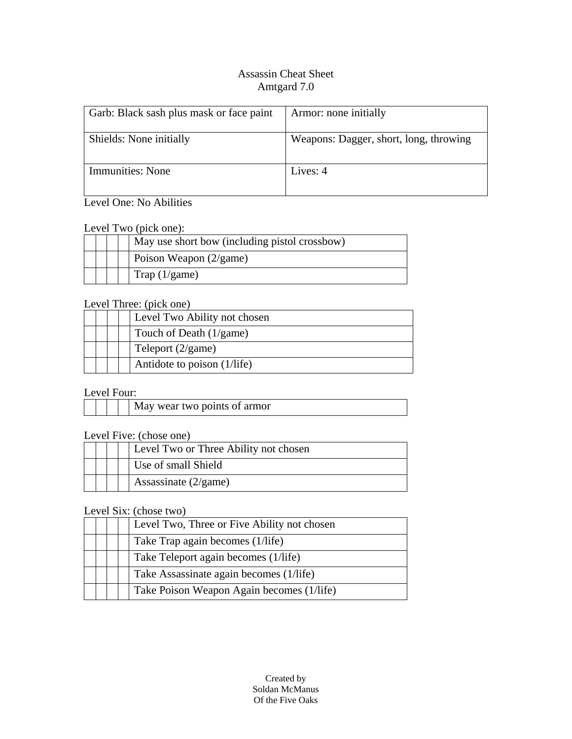### Assassin Cheat Sheet Amtgard 7.0

| Garb: Black sash plus mask or face paint | Armor: none initially                  |
|------------------------------------------|----------------------------------------|
| Shields: None initially                  | Weapons: Dagger, short, long, throwing |
| <b>Immunities:</b> None                  | Lives: 4                               |

# Level One: No Abilities

## Level Two (pick one):

|  | May use short bow (including pistol crossbow) |
|--|-----------------------------------------------|
|  | Poison Weapon $(2/\text{game})$               |
|  | Trap $(1/\text{game})$                        |

## Level Three: (pick one)

|  | Level Two Ability not chosen |
|--|------------------------------|
|  | Touch of Death (1/game)      |
|  | Teleport $(2/\text{game})$   |
|  | Antidote to poison (1/life)  |

# Level Four:

| May wear two points of armor |
|------------------------------|
|------------------------------|

#### Level Five: (chose one)

|  | Level Two or Three Ability not chosen |
|--|---------------------------------------|
|  | Use of small Shield                   |
|  | Assassinate $(2/\text{game})$         |

### Level Six: (chose two)

|  | Level Two, Three or Five Ability not chosen |
|--|---------------------------------------------|
|  | Take Trap again becomes (1/life)            |
|  | Take Teleport again becomes (1/life)        |
|  | Take Assassinate again becomes (1/life)     |
|  | Take Poison Weapon Again becomes (1/life)   |